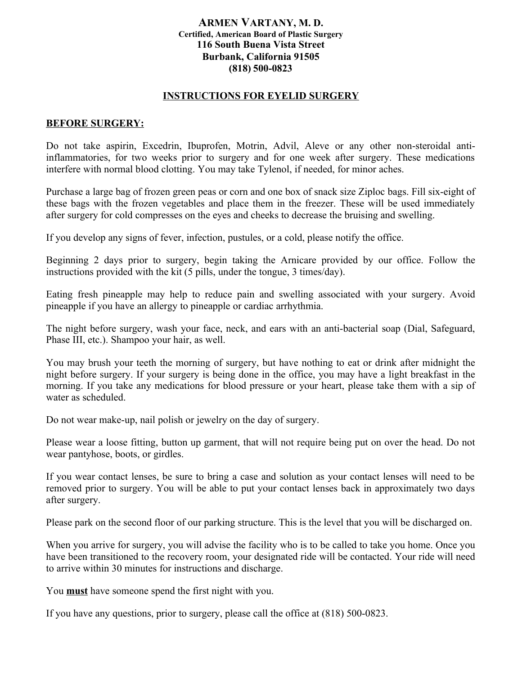## **ARMEN VARTANY, M. D. Certified, American Board of Plastic Surgery 116 South Buena Vista Street Burbank, California 91505 (818) 500-0823**

## **INSTRUCTIONS FOR EYELID SURGERY**

## **BEFORE SURGERY:**

Do not take aspirin, Excedrin, Ibuprofen, Motrin, Advil, Aleve or any other non-steroidal antiinflammatories, for two weeks prior to surgery and for one week after surgery. These medications interfere with normal blood clotting. You may take Tylenol, if needed, for minor aches.

Purchase a large bag of frozen green peas or corn and one box of snack size Ziploc bags. Fill six-eight of these bags with the frozen vegetables and place them in the freezer. These will be used immediately after surgery for cold compresses on the eyes and cheeks to decrease the bruising and swelling.

If you develop any signs of fever, infection, pustules, or a cold, please notify the office.

Beginning 2 days prior to surgery, begin taking the Arnicare provided by our office. Follow the instructions provided with the kit (5 pills, under the tongue, 3 times/day).

Eating fresh pineapple may help to reduce pain and swelling associated with your surgery. Avoid pineapple if you have an allergy to pineapple or cardiac arrhythmia.

The night before surgery, wash your face, neck, and ears with an anti-bacterial soap (Dial, Safeguard, Phase III, etc.). Shampoo your hair, as well.

You may brush your teeth the morning of surgery, but have nothing to eat or drink after midnight the night before surgery. If your surgery is being done in the office, you may have a light breakfast in the morning. If you take any medications for blood pressure or your heart, please take them with a sip of water as scheduled.

Do not wear make-up, nail polish or jewelry on the day of surgery.

Please wear a loose fitting, button up garment, that will not require being put on over the head. Do not wear pantyhose, boots, or girdles.

If you wear contact lenses, be sure to bring a case and solution as your contact lenses will need to be removed prior to surgery. You will be able to put your contact lenses back in approximately two days after surgery.

Please park on the second floor of our parking structure. This is the level that you will be discharged on.

When you arrive for surgery, you will advise the facility who is to be called to take you home. Once you have been transitioned to the recovery room, your designated ride will be contacted. Your ride will need to arrive within 30 minutes for instructions and discharge.

You **must** have someone spend the first night with you.

If you have any questions, prior to surgery, please call the office at (818) 500-0823.